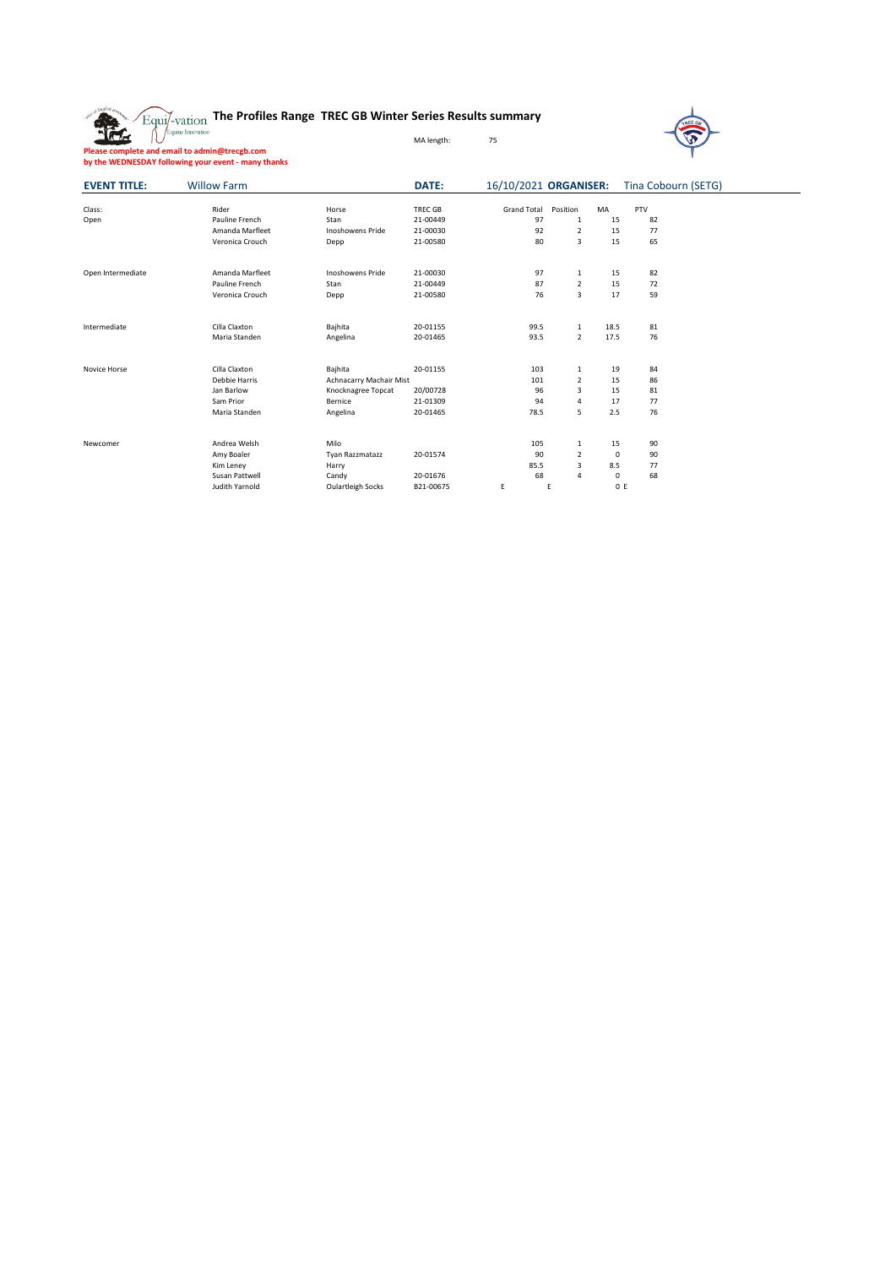| o Inglish           | Equi/-vation<br>Equine Innovation                                                                    | The Profiles Range TREC GB Winter Series Results summary |                |                       |                |             | <b>TREC GA</b>      |  |
|---------------------|------------------------------------------------------------------------------------------------------|----------------------------------------------------------|----------------|-----------------------|----------------|-------------|---------------------|--|
|                     |                                                                                                      |                                                          | MA length:     | 75                    |                |             |                     |  |
|                     | Please complete and email to admin@trecgb.com<br>by the WEDNESDAY following your event - many thanks |                                                          |                |                       |                |             |                     |  |
| <b>EVENT TITLE:</b> | <b>Willow Farm</b>                                                                                   |                                                          | DATE:          | 16/10/2021 ORGANISER: |                |             | Tina Cobourn (SETG) |  |
| Class:              | Rider                                                                                                | Horse                                                    | <b>TREC GB</b> | <b>Grand Total</b>    | Position       | MA          | PTV                 |  |
| Open                | Pauline French                                                                                       | Stan                                                     | 21-00449       | 97                    | 1              | 15          | 82                  |  |
|                     | Amanda Marfleet                                                                                      | Inoshowens Pride                                         | 21-00030       | 92                    | $\overline{2}$ | 15          | 77                  |  |
|                     | Veronica Crouch                                                                                      | Depp                                                     | 21-00580       | 80                    | 3              | 15          | 65                  |  |
| Open Intermediate   | Amanda Marfleet                                                                                      | <b>Inoshowens Pride</b>                                  | 21-00030       | 97                    | 1              | 15          | 82                  |  |
|                     | Pauline French                                                                                       | Stan                                                     | 21-00449       | 87                    | $\overline{2}$ | 15          | 72                  |  |
|                     | Veronica Crouch                                                                                      | Depp                                                     | 21-00580       | 76                    | 3              | 17          | 59                  |  |
| Intermediate        | Cilla Claxton                                                                                        | Bajhita                                                  | 20-01155       | 99.5                  | 1              | 18.5        | 81                  |  |
|                     | Maria Standen                                                                                        | Angelina                                                 | 20-01465       | 93.5                  | $\overline{2}$ | 17.5        | 76                  |  |
| Novice Horse        | Cilla Claxton                                                                                        | Bajhita                                                  | 20-01155       | 103                   | 1              | 19          | 84                  |  |
|                     | Debbie Harris                                                                                        | Achnacarry Machair Mist                                  |                | 101                   | 2              | 15          | 86                  |  |
|                     | Jan Barlow                                                                                           | Knocknagree Topcat                                       | 20/00728       | 96                    | 3              | 15          | 81                  |  |
|                     | Sam Prior                                                                                            | Bernice                                                  | 21-01309       | 94                    | 4              | 17          | 77                  |  |
|                     | Maria Standen                                                                                        | Angelina                                                 | 20-01465       | 78.5                  | 5              | 2.5         | 76                  |  |
| Newcomer            | Andrea Welsh                                                                                         | Milo                                                     |                | 105                   | 1              | 15          | 90                  |  |
|                     | Amy Boaler                                                                                           | Tyan Razzmatazz                                          | 20-01574       | 90                    | $\overline{2}$ | $\mathbf 0$ | 90                  |  |
|                     | Kim Leney                                                                                            | Harry                                                    |                | 85.5                  | 3              | 8.5         | 77                  |  |
|                     | Susan Pattwell                                                                                       | Candy                                                    | 20-01676       | 68                    | 4              | 0           | 68                  |  |
|                     | Judith Yarnold                                                                                       | <b>Oulartleigh Socks</b>                                 | B21-00675      | E                     | E              | 0 E         |                     |  |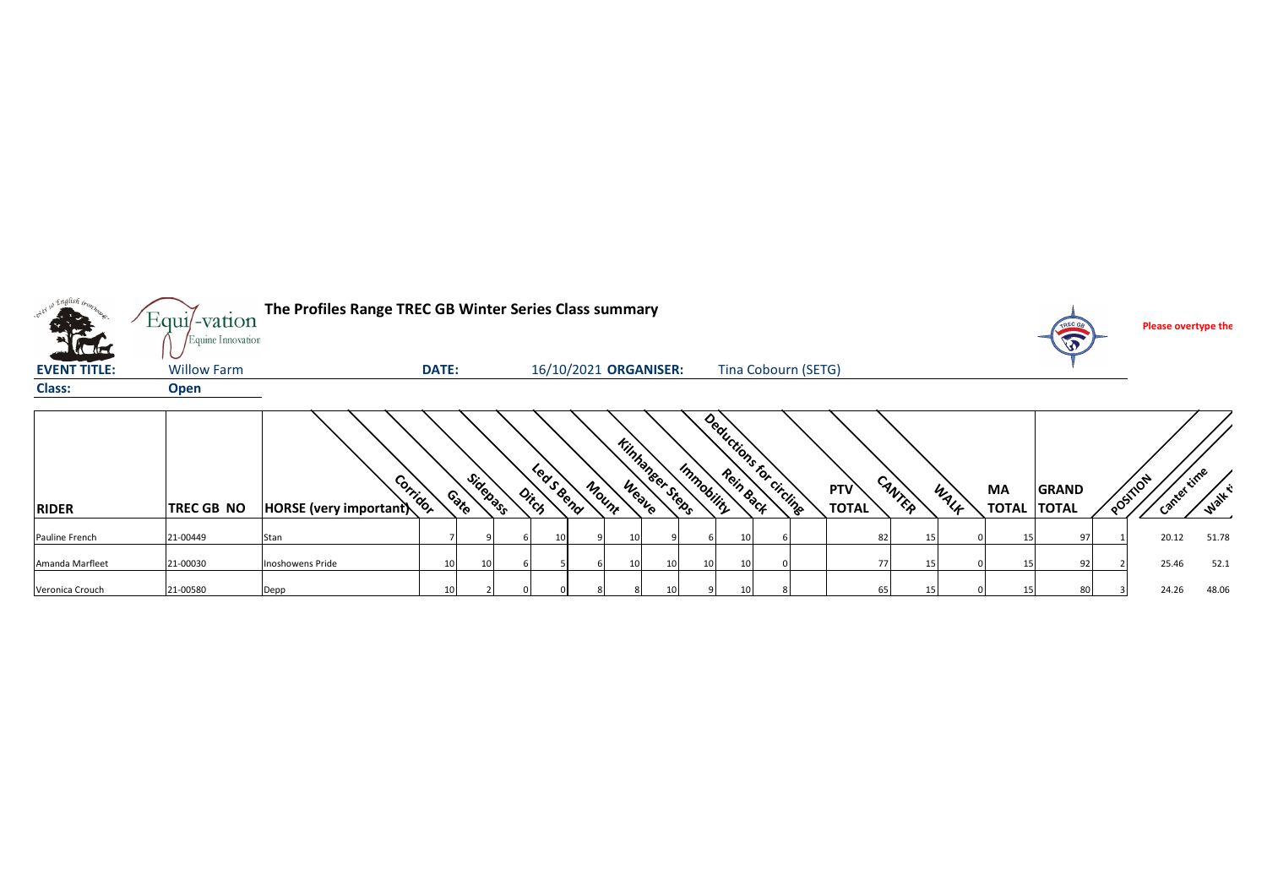| <sub>. v</sub> Englis <i>h</i><br><b>STATISTICS</b><br><b>Alta</b> | $Equi$ -vation<br>Equine Innovation | The Profiles Range TREC GB Winter Series Class summary |                       |       |                       |                                       |                         |                     |                 |                    | TREC GE<br>$\sqrt{2}$        | Please overtype the      |               |
|--------------------------------------------------------------------|-------------------------------------|--------------------------------------------------------|-----------------------|-------|-----------------------|---------------------------------------|-------------------------|---------------------|-----------------|--------------------|------------------------------|--------------------------|---------------|
| <b>EVENT TITLE:</b>                                                | <b>Willow Farm</b>                  |                                                        | <b>DATE:</b>          |       | 16/10/2021 ORGANISER: |                                       | Tina Cobourn (SETG)     |                     |                 |                    |                              |                          |               |
| Class:                                                             | <b>Open</b>                         |                                                        |                       |       |                       |                                       |                         |                     |                 |                    |                              |                          |               |
| <b>RIDER</b>                                                       | <b>TREC GB NO</b>                   | Corrigor<br>HORSE (very important)                     | Sidepass<br>Contro    | Ditch | Led S Bend<br>Mount   | <b>Kinhaneer Steeps</b><br>Immobility | Deductions for circuite | PTV<br><b>TOTAL</b> | CANTER<br>WALK  | ΜA<br><b>TOTAL</b> | <b>GRAND</b><br><b>TOTAL</b> | Canter time<br>a OSTILON | <b>Walk E</b> |
| Pauline French                                                     | 21-00449                            | Stan                                                   |                       |       |                       |                                       | 10                      | 82                  | 15 <sub>1</sub> | 15                 | 97                           | 20.12                    | 51.78         |
| Amanda Marfleet                                                    | 21-00030                            | Inoshowens Pride                                       | 10<br>10 <sup>1</sup> |       |                       | 10<br>10                              | 10                      | 77                  | 15              |                    | 92                           | 25.46                    | 52.1          |
| Veronica Crouch                                                    | 21-00580                            | Depp                                                   | 10                    |       |                       | 10                                    | 10 <sup>1</sup>         | 65                  | 15              | 15                 | 80                           | 24.26                    | 48.06         |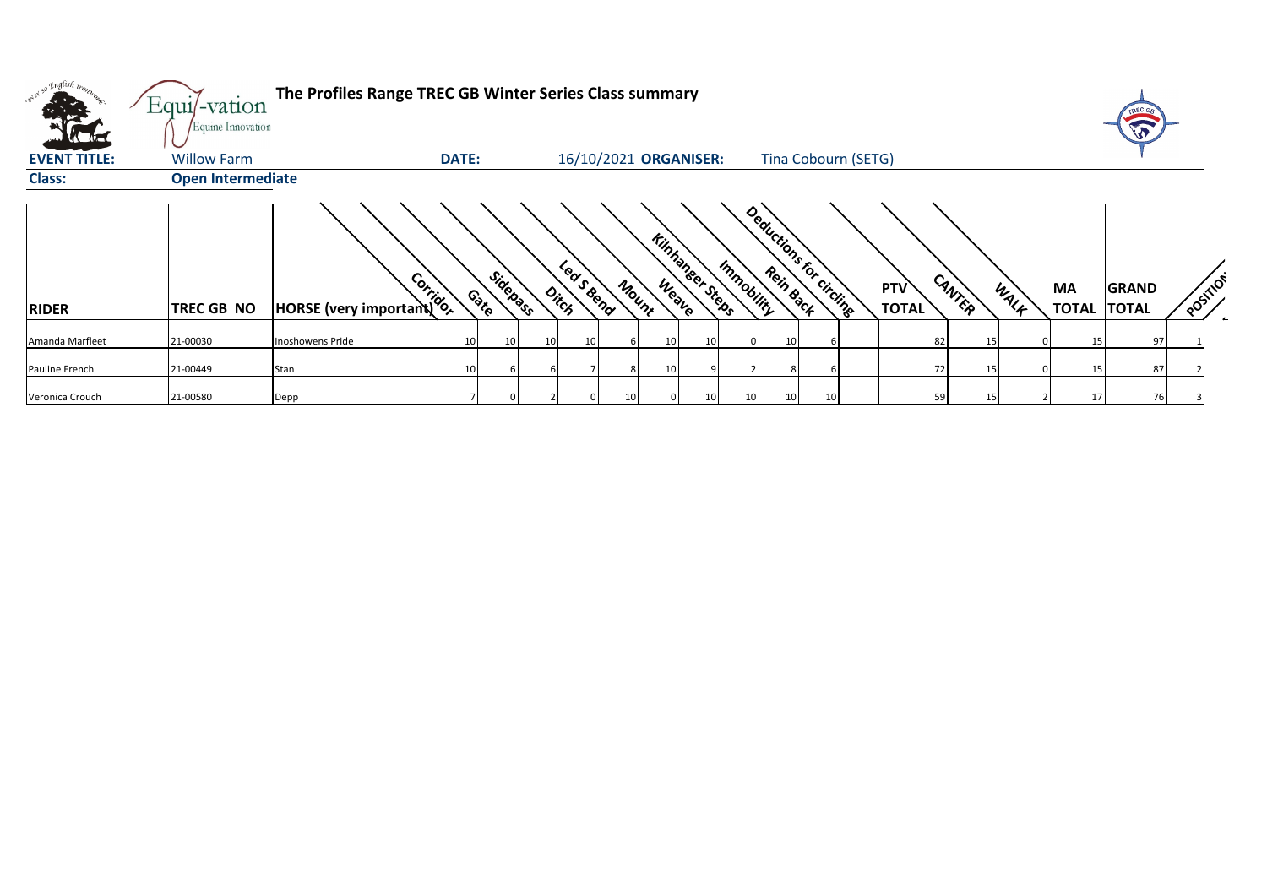| only so English bon | Equi/-vation<br>Equine Innovation | The Profiles Range TREC GB Winter Series Class summary |              |                    |    |                       |       |                        |    |                |                 |                         |                            |        |    |      |                          |              |          |
|---------------------|-----------------------------------|--------------------------------------------------------|--------------|--------------------|----|-----------------------|-------|------------------------|----|----------------|-----------------|-------------------------|----------------------------|--------|----|------|--------------------------|--------------|----------|
| <b>EVENT TITLE:</b> | <b>Willow Farm</b>                |                                                        | <b>DATE:</b> |                    |    | 16/10/2021 ORGANISER: |       |                        |    |                |                 | Tina Cobourn (SETG)     |                            |        |    |      |                          |              |          |
| <b>Class:</b>       | <b>Open Intermediate</b>          |                                                        |              |                    |    |                       |       |                        |    |                |                 |                         |                            |        |    |      |                          |              |          |
| <b>RIDER</b>        | <b>TREC GB NO</b>                 | HORSE (very important)                                 |              | Sidepass<br>Contro |    | Leas Bend<br>Ditch    | Mount | <b>Kinhaneer Steps</b> |    | Immobility     |                 | Deductions for circuite | <b>PTV</b><br><b>TOTAL</b> | CANTER |    | WALK | MA<br><b>TOTAL TOTAL</b> | <b>GRAND</b> | POSTILOT |
| Amanda Marfleet     | 21-00030                          | Inoshowens Pride                                       | 10           | 10                 | 10 | 10                    |       | 10                     | 10 | $\overline{0}$ | 10 <sup>1</sup> |                         |                            | 82     | 15 |      | 15                       | 97           |          |
| Pauline French      | 21-00449                          | Stan                                                   | 10           |                    |    |                       |       | 10 <sup>1</sup>        |    |                |                 |                         |                            | 72     |    |      |                          | 87           |          |
| Veronica Crouch     | 21-00580                          | Depp                                                   |              |                    |    |                       | 10    |                        | 10 | 10             | 10              | 10                      |                            | 59     | 15 |      |                          | 76           |          |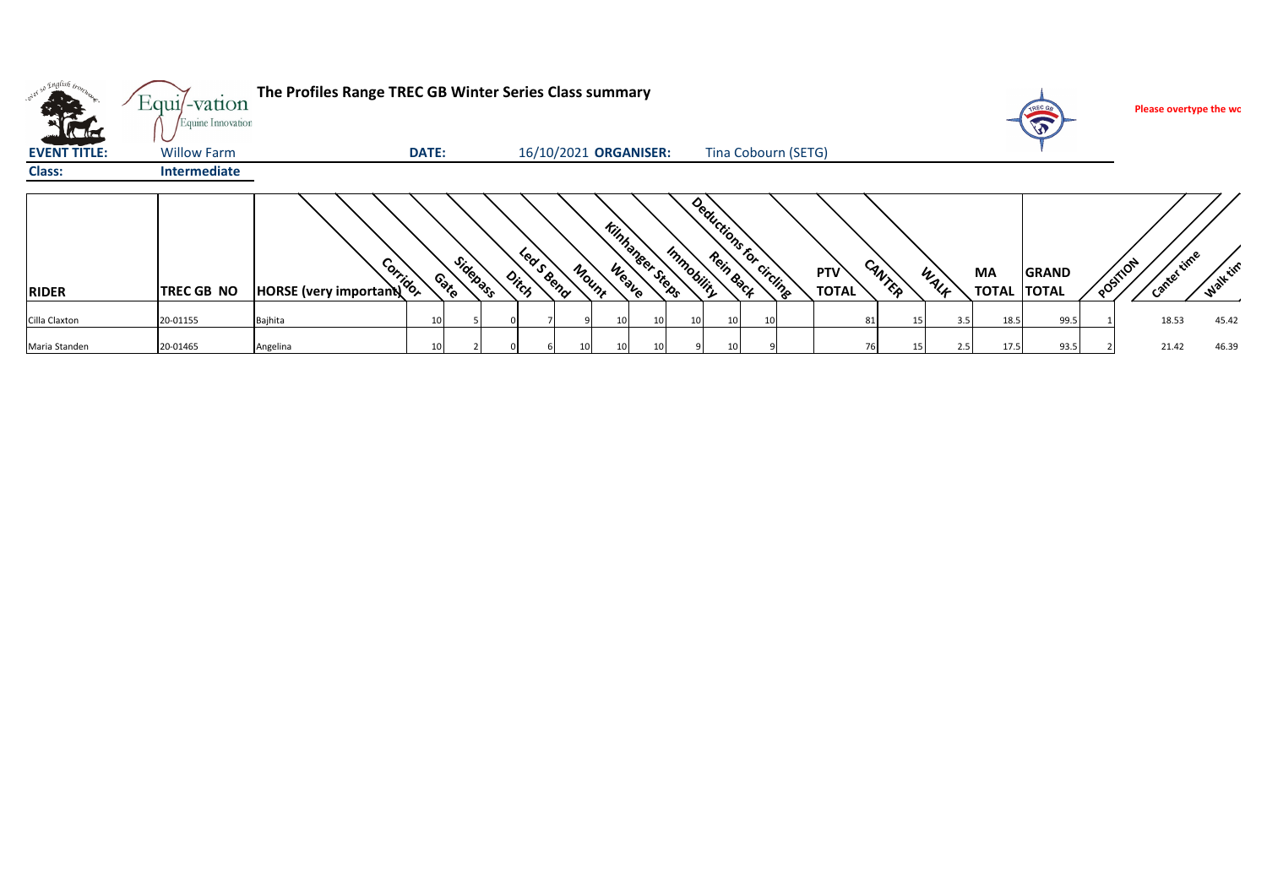| <b>All De</b>                                  | $Equi$ -vation<br>Equine Innovation | The Profiles Range TREC GB Winter Series Class summary |              |          |                     |                       |                        |            |                        |                            |                |             | $\sqrt{3}$                         |          | Please overtype the wo |                  |
|------------------------------------------------|-------------------------------------|--------------------------------------------------------|--------------|----------|---------------------|-----------------------|------------------------|------------|------------------------|----------------------------|----------------|-------------|------------------------------------|----------|------------------------|------------------|
| <b>Victor</b><br><b>EVENT TITLE:</b><br>Class: | <b>Willow Farm</b><br>Intermediate  |                                                        | <b>DATE:</b> |          |                     | 16/10/2021 ORGANISER: |                        |            | Tina Cobourn (SETG)    |                            |                |             |                                    |          |                        |                  |
| <b>RIDER</b>                                   | <b>TREC GB NO</b>                   | BANCALITY                                              | Contro       | Sidepass | Led S Bend<br>Ditch | Mount                 | <b>Kinhanger Steps</b> | Immobility | Deductions for circums | <b>PTV</b><br><b>TOTAL</b> | CANTER<br>WALK | <b>MA</b>   | <b>GRAND</b><br><b>TOTAL TOTAL</b> | POSTILON | <b>Filme</b>           | <b>Walk time</b> |
| Cilla Claxton                                  | 20-01155                            | Bajhita                                                | 10           |          |                     |                       |                        | 10         | 10                     | 81                         |                | 3.5<br>18.5 | 99.5                               |          | 18.53                  | 45.42            |
| Maria Standen                                  | 20-01465                            | Angelina                                               |              |          |                     |                       |                        |            |                        |                            |                | 17.5<br>2.5 | 93.5                               |          | 21.42                  | 46.39            |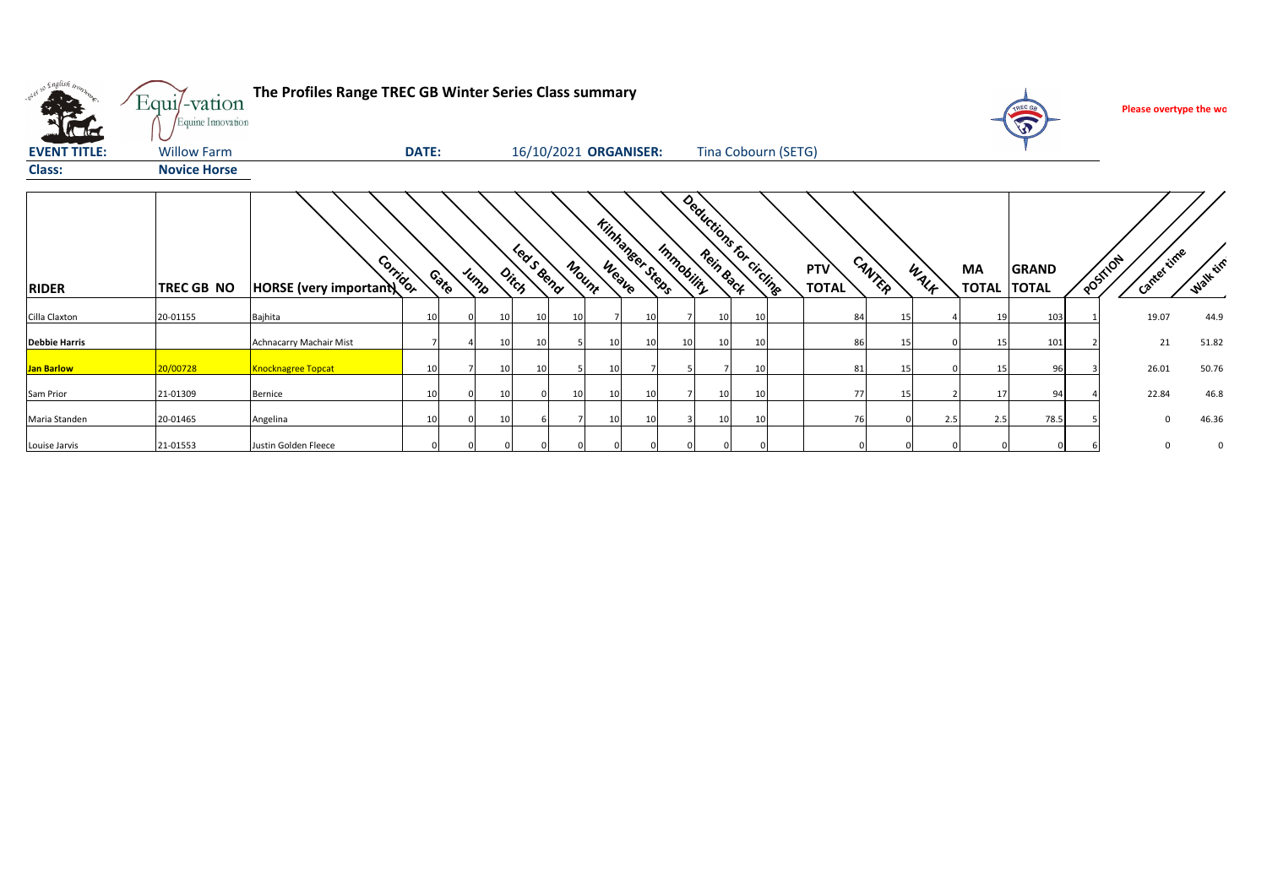| . English                                   | Equi/-vation                                                   | The Profiles Range TREC GB Winter Series Class summary |              |      |                 |       |                       |                                 |    |    |                                      |    |                     |        |      |                    | TREC GA               | Please overtype the wo |          |
|---------------------------------------------|----------------------------------------------------------------|--------------------------------------------------------|--------------|------|-----------------|-------|-----------------------|---------------------------------|----|----|--------------------------------------|----|---------------------|--------|------|--------------------|-----------------------|------------------------|----------|
| <b>KTH</b><br><b>EVENT TITLE:</b><br>Class: | Equine Innovation<br><b>Willow Farm</b><br><b>Novice Horse</b> |                                                        | <b>DATE:</b> |      |                 |       | 16/10/2021 ORGANISER: |                                 |    |    | Tina Cobourn (SETG)                  |    |                     |        |      |                    | <b>SP</b>             |                        |          |
| <b>RIDER</b>                                | <b>TREC GB NO</b>                                              | HORSE (very important)                                 |              | Cate | Jump            | Ditch | Leas Bena             | <b>Kinhaneer Steps</b><br>Mount |    |    | Deductions for circums<br>Immobility |    | PTV<br><b>TOTAL</b> | CANTER | WALK | MA<br><b>TOTAL</b> | GRAND<br><b>TOTAL</b> | Cantertime<br>POSTILON | Walk tim |
| Cilla Claxton                               | 20-01155                                                       | Bajhita                                                | 10           |      | 10 <sup>1</sup> | 10    | 10                    |                                 | 1( |    | 10                                   | 10 | 84                  |        |      | 19                 | 103                   | 19.07                  | 44.9     |
| <b>Debbie Harris</b>                        |                                                                | Achnacarry Machair Mist                                |              |      | 10              | 10    |                       | 10                              |    | 10 | 10                                   |    | 86                  |        |      | 15                 | 101                   | 21                     | 51.82    |
| <b>Jan Barlow</b>                           | 20/00728                                                       | <b>Knocknagree Topcat</b>                              | 10           |      | 10              | 10    |                       | 10                              |    |    |                                      | 10 | 81                  |        |      | 15                 | 96                    | 26.01                  | 50.76    |
| Sam Prior                                   | 21-01309                                                       | Bernice                                                | 10           |      | 10              |       | 10 <sup>1</sup>       | 10                              |    |    | 10                                   | 10 | 77                  |        |      | 17                 | 94                    | 22.84                  | 46.8     |
| Maria Standen                               | 20-01465                                                       | Angelina                                               | 10           |      | 10              |       |                       | 10                              |    |    | 10 <sup>1</sup>                      | 10 | 76                  |        | 2.5  | 2.5                | 78.5                  | $\Omega$               | 46.36    |
| Louise Jarvis                               | 21-01553                                                       | Justin Golden Fleece                                   | $\Omega$     |      |                 |       |                       |                                 |    |    |                                      |    |                     |        |      |                    |                       | $\Omega$               | 0        |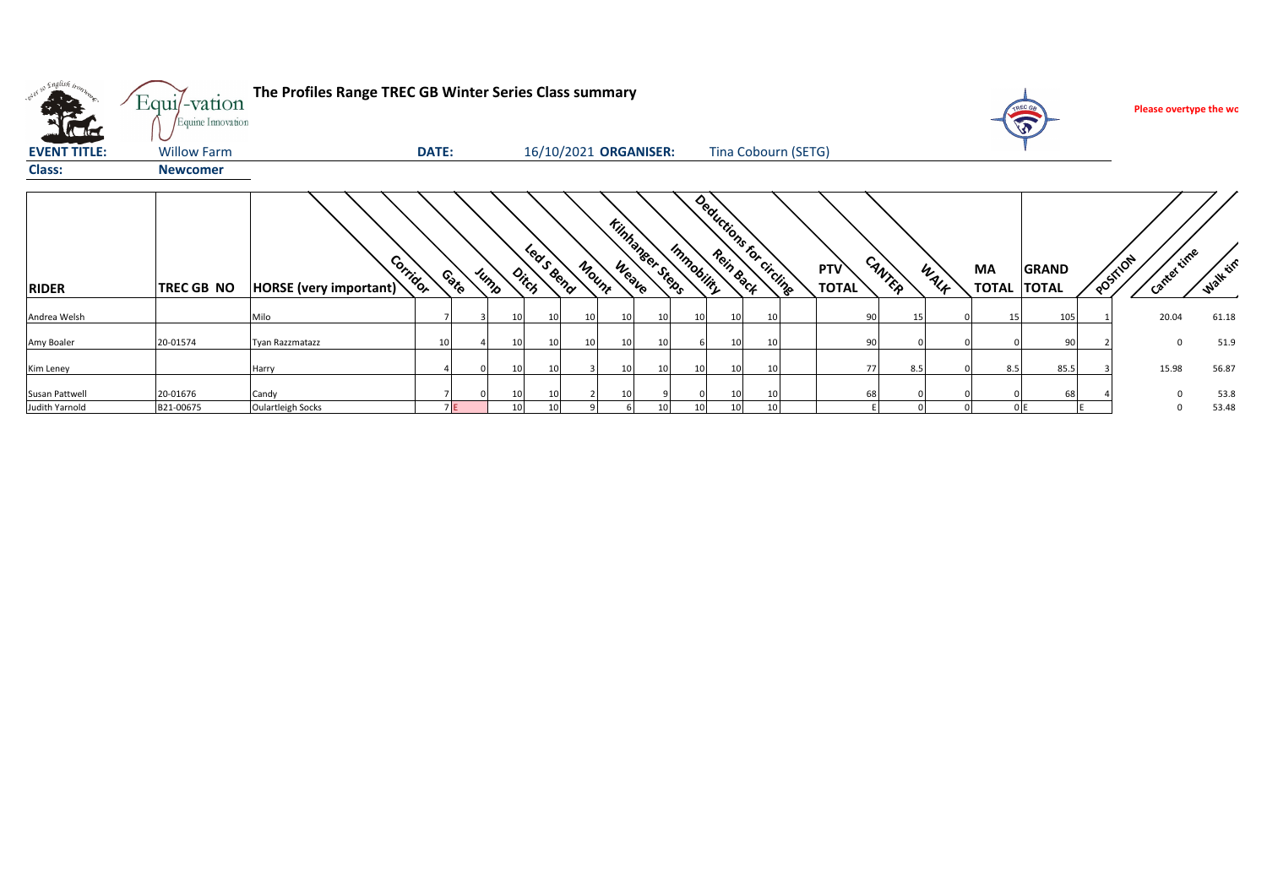| <b>All De</b>                    | Equi/-vation<br>Equine Innovation | The Profiles Range TREC GB Winter Series Class summary |          |      |                              |                 |                       |                        |                 |            |                              |          |                        |                     |        |      |                    | <b>TREC GA</b><br>$\mathbf{\hat{v}}$ |          | Please overtype the wo |                 |
|----------------------------------|-----------------------------------|--------------------------------------------------------|----------|------|------------------------------|-----------------|-----------------------|------------------------|-----------------|------------|------------------------------|----------|------------------------|---------------------|--------|------|--------------------|--------------------------------------|----------|------------------------|-----------------|
| <b>EVENT TITLE:</b>              | <b>Willow Farm</b>                |                                                        | DATE:    |      |                              |                 | 16/10/2021 ORGANISER: |                        |                 |            |                              |          | Tina Cobourn (SETG)    |                     |        |      |                    |                                      |          |                        |                 |
| <b>Class:</b>                    | <b>Newcomer</b>                   |                                                        |          |      |                              |                 |                       |                        |                 |            |                              |          |                        |                     |        |      |                    |                                      |          |                        |                 |
| <b>RIDER</b>                     | <b>TREC GB NO</b>                 | HORSE (very important)                                 | Corridor | Cate | Jump<br>$o_{i\zeta_{\beta}}$ | Leas Bend       | Mount                 | <b>Kinhanser Steps</b> |                 | Immobility |                              |          | Deductions for circums | PTV<br><b>TOTAL</b> | CANTER | WALK | MA<br><b>TOTAL</b> | <b>GRAND</b><br><b>TOTAL</b>         | POSITION | Cantertime             | <b>Walk</b> tin |
| Andrea Welsh                     |                                   | Milo                                                   |          |      | 10                           | 10 <sup>1</sup> | <b>10</b>             | 10                     |                 | 10         | 10                           | 10       |                        | 90                  |        |      | 15                 | 105                                  |          | 20.04                  | 61.18           |
| Amy Boaler                       | 20-01574                          | Tyan Razzmatazz                                        |          |      | 10                           | 10 <sup>1</sup> | 10 <sup>1</sup>       | 10                     |                 |            | 10 <sup>1</sup>              | 10       |                        | 90                  |        |      |                    | 90                                   |          | $\Omega$               | 51.9            |
| Kim Leney                        |                                   | Harry                                                  |          |      | 10 <sup>1</sup>              | 10 <sup>1</sup> |                       | 10                     | 10              | 10         | 10 <sup>1</sup>              | 10       |                        | 77                  | 8.5    |      | 8.5                | 85.5                                 |          | 15.98                  | 56.87           |
| Susan Pattwell<br>Judith Yarnold | 20-01676<br>B21-00675             | Candy<br>Oulartleigh Socks                             |          | 7 E  | 10<br>10                     | 10<br>10        |                       | 10                     | 10 <sup>1</sup> | 10         | <b>10</b><br>10 <sup>1</sup> | 10<br>10 |                        | 68                  |        |      |                    | 68                                   |          |                        | 53.8<br>53.48   |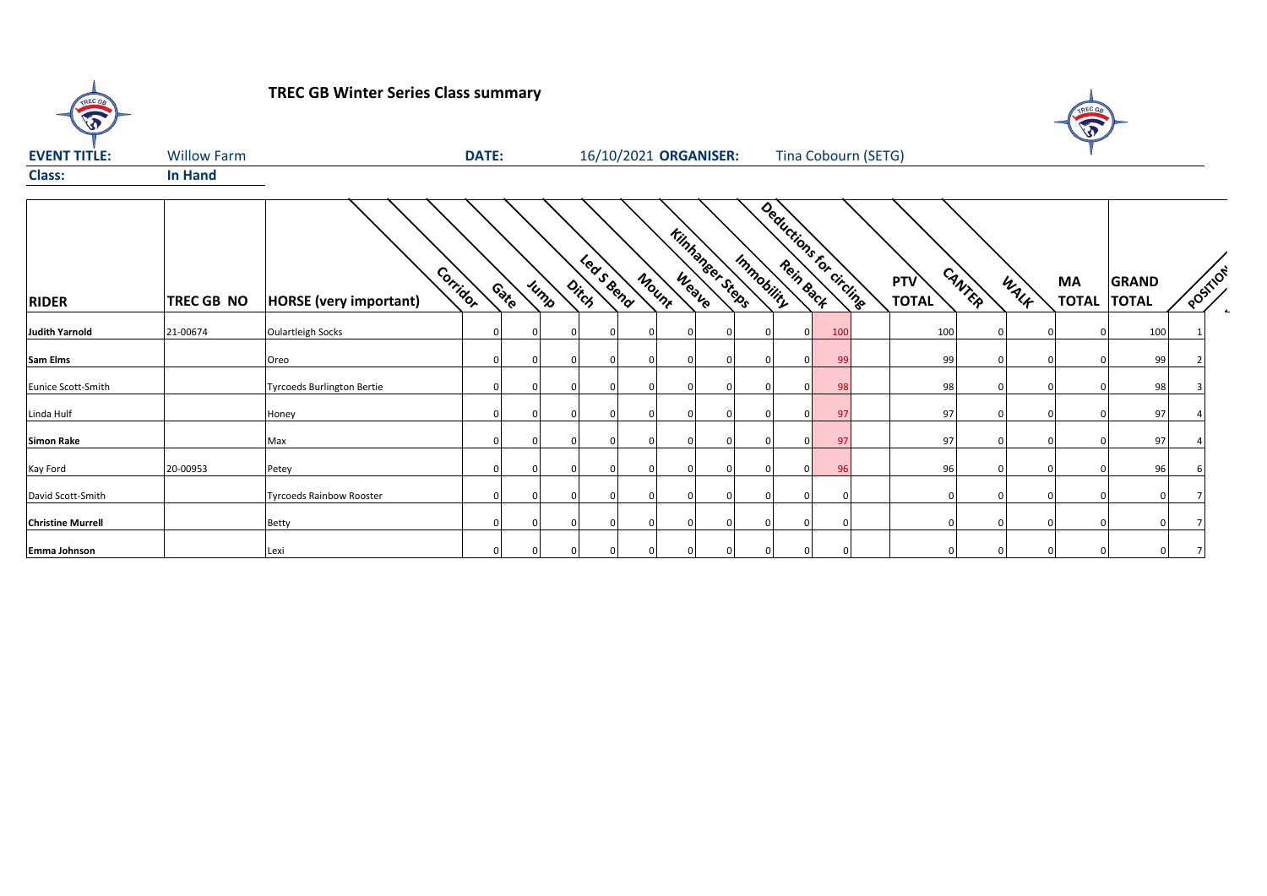| TREC GB                  |                    | <b>TREC GB Winter Series Class summary</b> |              |        |               |                       |          |                        |            |             |                         |                            |        |      | A                  |                              |          |  |
|--------------------------|--------------------|--------------------------------------------|--------------|--------|---------------|-----------------------|----------|------------------------|------------|-------------|-------------------------|----------------------------|--------|------|--------------------|------------------------------|----------|--|
| <b>EVENT TITLE:</b>      | <b>Willow Farm</b> |                                            | <b>DATE:</b> |        |               | 16/10/2021 ORGANISER: |          |                        |            |             | Tina Cobourn (SETG)     |                            |        |      |                    |                              |          |  |
| <b>Class:</b>            | <b>In Hand</b>     |                                            |              |        |               |                       |          |                        |            |             |                         |                            |        |      |                    |                              |          |  |
| <b>RIDER</b>             | <b>TREC GB NO</b>  | Corridor<br><b>HORSE</b> (very important)  |              | Contro | Jump<br>Ditch | Leasend               | Mount    | <b>Kinhaneer Stebs</b> | Immobility |             | Deductions for circling | <b>PTV</b><br><b>TOTAL</b> | CANTER | WALK | MA<br><b>TOTAL</b> | <b>GRAND</b><br><b>TOTAL</b> | POSITION |  |
| <b>Judith Yarnold</b>    | 21-00674           | <b>Oulartleigh Socks</b>                   |              |        |               |                       |          |                        |            | $\Omega$    | 100                     | 100                        |        |      |                    | 100                          |          |  |
| Sam Elms                 |                    | Oreo                                       |              |        |               |                       | $\Omega$ |                        |            | $\Omega$    | 99                      | 99                         |        |      |                    | 99                           |          |  |
| Eunice Scott-Smith       |                    | <b>Tyrcoeds Burlington Bertie</b>          |              |        |               |                       | $\Omega$ |                        |            | $\Omega$    | 98                      | 98                         |        |      |                    | 98                           |          |  |
| Linda Hulf               |                    | Honey                                      |              |        |               |                       |          |                        |            | $\mathbf 0$ | 97                      | 97                         |        |      |                    | 97                           |          |  |
| <b>Simon Rake</b>        |                    | Max                                        |              |        |               |                       | $\Omega$ |                        |            | $\Omega$    | 97                      | 97                         |        |      |                    | 97                           |          |  |
| Kay Ford                 | 20-00953           | Petey                                      |              |        |               |                       | $\Omega$ |                        |            | $\Omega$    | 96                      | 96                         |        |      |                    | 96                           |          |  |
| David Scott-Smith        |                    | <b>Tyrcoeds Rainbow Rooster</b>            |              |        |               |                       | $\Omega$ |                        |            |             | $\Omega$                |                            |        |      |                    |                              |          |  |
| <b>Christine Murrell</b> |                    | <b>Betty</b>                               |              |        |               |                       |          |                        |            |             | $\Omega$                |                            |        |      |                    |                              |          |  |
| Emma Johnson             |                    | Lexi                                       |              |        |               |                       |          |                        |            |             |                         |                            |        |      |                    |                              |          |  |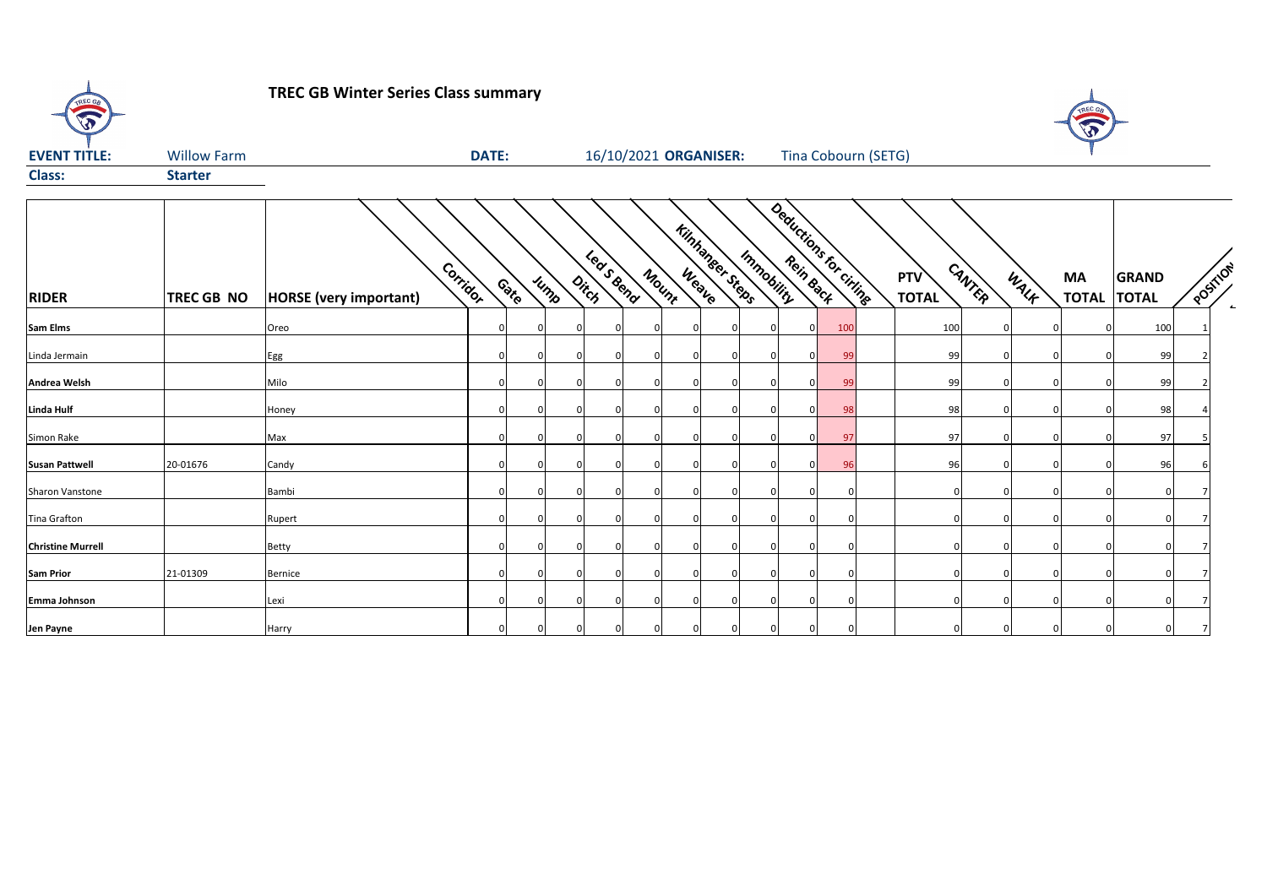**TREC GB Winter Series Class summary**

TREC Ge



| <b>EVENT TITLE:</b>      | <b>Willow Farm</b> |                                           | <b>DATE:</b> |             |      |          |            | 16/10/2021 ORGANISER: |                        |            | Tina Cobourn (SETG)    |                     |        |      |                    |                              |         |  |
|--------------------------|--------------------|-------------------------------------------|--------------|-------------|------|----------|------------|-----------------------|------------------------|------------|------------------------|---------------------|--------|------|--------------------|------------------------------|---------|--|
| <b>Class:</b>            | <b>Starter</b>     |                                           |              |             |      |          |            |                       |                        |            |                        |                     |        |      |                    |                              |         |  |
| <b>RIDER</b>             | <b>TREC GB NO</b>  | Corridor<br><b>HORSE</b> (very important) |              | Cate        | Jump | Ditch    | Lease Beno | Mount                 | <b>Kinhanger Steps</b> | Immobility | Deductions for criting | PTV<br><b>TOTAL</b> | CANTER | WALK | MA<br><b>TOTAL</b> | <b>GRAND</b><br><b>TOTAL</b> | POSTTON |  |
| <b>Sam Elms</b>          |                    | Oreo                                      |              | $\Omega$    |      |          |            |                       | $\Omega$               |            | 100                    | 100                 |        |      | <sup>0</sup>       | 100                          |         |  |
| Linda Jermain            |                    | Egg                                       | $\Omega$     | $\Omega$    |      |          |            | $\Omega$              | $\mathbf 0$            |            | 99                     | 99                  |        |      | $\Omega$           | 99                           |         |  |
| Andrea Welsh             |                    | Milo                                      |              | $\Omega$    |      |          |            | $\Omega$              | $\Omega$               |            | 99                     | 99                  |        |      | n                  | 99                           |         |  |
| <b>Linda Hulf</b>        |                    | Honey                                     |              | $\Omega$    |      |          |            |                       | $\Omega$               |            | 98                     | 98                  |        |      |                    | 98                           |         |  |
| Simon Rake               |                    | Max                                       |              | $\Omega$    |      |          |            |                       | $\Omega$               |            | 97                     | 97                  |        |      |                    | 97                           |         |  |
| <b>Susan Pattwell</b>    | 20-01676           | Candy                                     |              | $\mathbf 0$ |      |          |            |                       | $\Omega$               |            | 96                     | 96                  |        |      |                    | 96                           |         |  |
| Sharon Vanstone          |                    | Bambi                                     |              | $\Omega$    |      |          |            |                       | $\Omega$               |            |                        |                     |        |      |                    |                              |         |  |
| <b>Tina Grafton</b>      |                    | Rupert                                    |              | $\Omega$    |      |          |            |                       | $\Omega$               |            |                        |                     |        |      |                    |                              |         |  |
| <b>Christine Murrell</b> |                    | Betty                                     |              | $\Omega$    |      |          |            |                       | $\Omega$               |            |                        |                     |        |      |                    |                              |         |  |
| <b>Sam Prior</b>         | 21-01309           | Bernice                                   |              | $\Omega$    |      |          |            |                       | $\Omega$               |            |                        |                     |        |      |                    |                              |         |  |
| Emma Johnson             |                    | Lexi                                      |              | $\Omega$    |      |          |            |                       | $\Omega$               |            |                        |                     |        |      |                    |                              |         |  |
| Jen Payne                |                    | Harry                                     | $\Omega$     | $\Omega$    |      | $\Omega$ |            |                       | $\Omega$               |            |                        |                     |        |      |                    |                              |         |  |